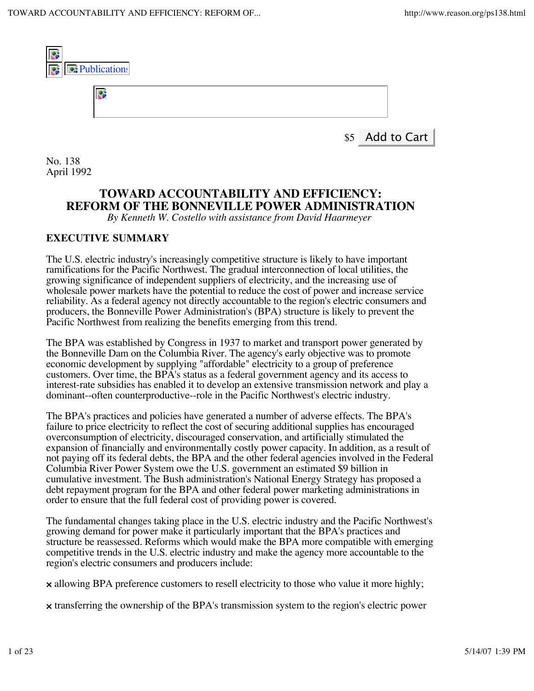

**TOWARD ACCOUNTABILITY AND EFFICIENCY: REFORM OF THE BONNEVILLE POWER ADMINISTRATION**

*By Kenneth W. Costello with assistance from David Haarmeyer*

### **EXECUTIVE SUMMARY**

The U.S. electric industry's increasingly competitive structure is likely to have important ramifications for the Pacific Northwest. The gradual interconnection of local utilities, the growing significance of independent suppliers of electricity, and the increasing use of wholesale power markets have the potential to reduce the cost of power and increase service reliability. As a federal agency not directly accountable to the region's electric consumers and producers, the Bonneville Power Administration's (BPA) structure is likely to prevent the Pacific Northwest from realizing the benefits emerging from this trend.

The BPA was established by Congress in 1937 to market and transport power generated by the Bonneville Dam on the Columbia River. The agency's early objective was to promote economic development by supplying "affordable" electricity to a group of preference customers. Over time, the BPA's status as a federal government agency and its access to interest-rate subsidies has enabled it to develop an extensive transmission network and play a dominant--often counterproductive--role in the Pacific Northwest's electric industry.

The BPA's practices and policies have generated a number of adverse effects. The BPA's failure to price electricity to reflect the cost of securing additional supplies has encouraged overconsumption of electricity, discouraged conservation, and artificially stimulated the expansion of financially and environmentally costly power capacity. In addition, as a result of not paying off its federal debts, the BPA and the other federal agencies involved in the Federal Columbia River Power System owe the U.S. government an estimated \$9 billion in cumulative investment. The Bush administration's National Energy Strategy has proposed a debt repayment program for the BPA and other federal power marketing administrations in order to ensure that the full federal cost of providing power is covered.

The fundamental changes taking place in the U.S. electric industry and the Pacific Northwest's growing demand for power make it particularly important that the BPA's practices and structure be reassessed. Reforms which would make the BPA more compatible with emerging competitive trends in the U.S. electric industry and make the agency more accountable to the region's electric consumers and producers include:

× allowing BPA preference customers to resell electricity to those who value it more highly;

× transferring the ownership of the BPA's transmission system to the region's electric power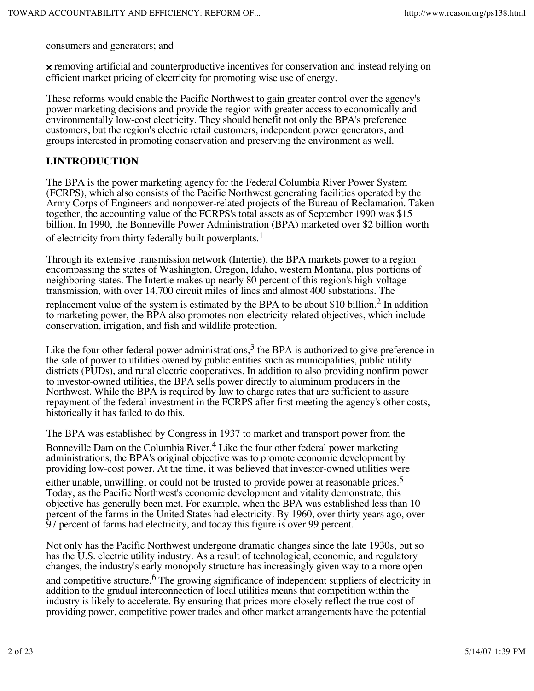consumers and generators; and

× removing artificial and counterproductive incentives for conservation and instead relying on efficient market pricing of electricity for promoting wise use of energy.

These reforms would enable the Pacific Northwest to gain greater control over the agency's power marketing decisions and provide the region with greater access to economically and environmentally low-cost electricity. They should benefit not only the BPA's preference customers, but the region's electric retail customers, independent power generators, and groups interested in promoting conservation and preserving the environment as well.

#### **I.INTRODUCTION**

The BPA is the power marketing agency for the Federal Columbia River Power System (FCRPS), which also consists of the Pacific Northwest generating facilities operated by the Army Corps of Engineers and nonpower-related projects of the Bureau of Reclamation. Taken together, the accounting value of the FCRPS's total assets as of September 1990 was \$15 billion. In 1990, the Bonneville Power Administration (BPA) marketed over \$2 billion worth of electricity from thirty federally built powerplants.<sup>1</sup>

Through its extensive transmission network (Intertie), the BPA markets power to a region encompassing the states of Washington, Oregon, Idaho, western Montana, plus portions of neighboring states. The Intertie makes up nearly 80 percent of this region's high-voltage transmission, with over 14,700 circuit miles of lines and almost 400 substations. The

replacement value of the system is estimated by the BPA to be about \$10 billion.<sup>2</sup> In addition to marketing power, the BPA also promotes non-electricity-related objectives, which include conservation, irrigation, and fish and wildlife protection.

Like the four other federal power administrations,<sup>3</sup> the BPA is authorized to give preference in the sale of power to utilities owned by public entities such as municipalities, public utility districts (PUDs), and rural electric cooperatives. In addition to also providing nonfirm power to investor-owned utilities, the BPA sells power directly to aluminum producers in the Northwest. While the BPA is required by law to charge rates that are sufficient to assure repayment of the federal investment in the FCRPS after first meeting the agency's other costs, historically it has failed to do this.

The BPA was established by Congress in 1937 to market and transport power from the Bonneville Dam on the Columbia River.<sup>4</sup> Like the four other federal power marketing administrations, the BPA's original objective was to promote economic development by providing low-cost power. At the time, it was believed that investor-owned utilities were

either unable, unwilling, or could not be trusted to provide power at reasonable prices.<sup>5</sup> Today, as the Pacific Northwest's economic development and vitality demonstrate, this objective has generally been met. For example, when the BPA was established less than 10 percent of the farms in the United States had electricity. By 1960, over thirty years ago, over 97 percent of farms had electricity, and today this figure is over 99 percent.

Not only has the Pacific Northwest undergone dramatic changes since the late 1930s, but so has the U.S. electric utility industry. As a result of technological, economic, and regulatory changes, the industry's early monopoly structure has increasingly given way to a more open and competitive structure.<sup>6</sup> The growing significance of independent suppliers of electricity in addition to the gradual interconnection of local utilities means that competition within the industry is likely to accelerate. By ensuring that prices more closely reflect the true cost of providing power, competitive power trades and other market arrangements have the potential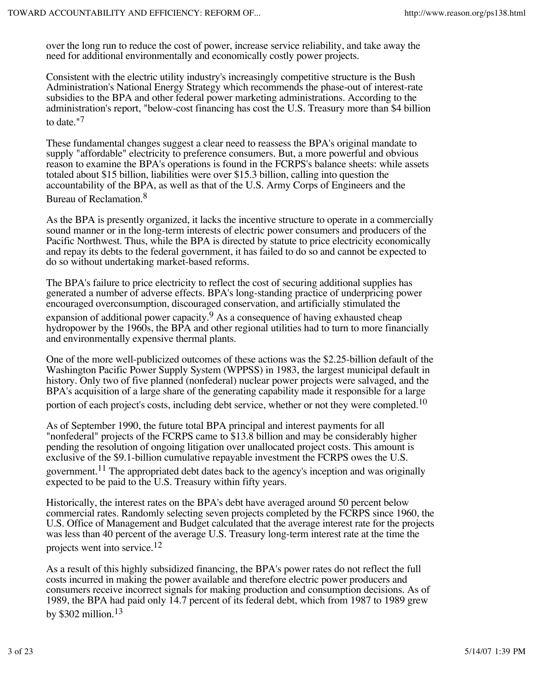over the long run to reduce the cost of power, increase service reliability, and take away the need for additional environmentally and economically costly power projects.

Consistent with the electric utility industry's increasingly competitive structure is the Bush Administration's National Energy Strategy which recommends the phase-out of interest-rate subsidies to the BPA and other federal power marketing administrations. According to the administration's report, "below-cost financing has cost the U.S. Treasury more than \$4 billion to date."<sup>7</sup>

These fundamental changes suggest a clear need to reassess the BPA's original mandate to supply "affordable" electricity to preference consumers. But, a more powerful and obvious reason to examine the BPA's operations is found in the FCRPS's balance sheets: while assets totaled about \$15 billion, liabilities were over \$15.3 billion, calling into question the accountability of the BPA, as well as that of the U.S. Army Corps of Engineers and the Bureau of Reclamation.8

As the BPA is presently organized, it lacks the incentive structure to operate in a commercially sound manner or in the long-term interests of electric power consumers and producers of the Pacific Northwest. Thus, while the BPA is directed by statute to price electricity economically and repay its debts to the federal government, it has failed to do so and cannot be expected to do so without undertaking market-based reforms.

The BPA's failure to price electricity to reflect the cost of securing additional supplies has generated a number of adverse effects. BPA's long-standing practice of underpricing power encouraged overconsumption, discouraged conservation, and artificially stimulated the

expansion of additional power capacity.<sup>9</sup> As a consequence of having exhausted cheap hydropower by the 1960s, the BPA and other regional utilities had to turn to more financially and environmentally expensive thermal plants.

One of the more well-publicized outcomes of these actions was the \$2.25-billion default of the Washington Pacific Power Supply System (WPPSS) in 1983, the largest municipal default in history. Only two of five planned (nonfederal) nuclear power projects were salvaged, and the BPA's acquisition of a large share of the generating capability made it responsible for a large portion of each project's costs, including debt service, whether or not they were completed.<sup>10</sup>

As of September 1990, the future total BPA principal and interest payments for all "nonfederal" projects of the FCRPS came to \$13.8 billion and may be considerably higher pending the resolution of ongoing litigation over unallocated project costs. This amount is exclusive of the \$9.1-billion cumulative repayable investment the FCRPS owes the U.S.

government.<sup>11</sup> The appropriated debt dates back to the agency's inception and was originally expected to be paid to the U.S. Treasury within fifty years.

Historically, the interest rates on the BPA's debt have averaged around 50 percent below commercial rates. Randomly selecting seven projects completed by the FCRPS since 1960, the U.S. Office of Management and Budget calculated that the average interest rate for the projects was less than 40 percent of the average U.S. Treasury long-term interest rate at the time the projects went into service.12

As a result of this highly subsidized financing, the BPA's power rates do not reflect the full costs incurred in making the power available and therefore electric power producers and consumers receive incorrect signals for making production and consumption decisions. As of 1989, the BPA had paid only 14.7 percent of its federal debt, which from 1987 to 1989 grew by \$302 million.<sup>13</sup>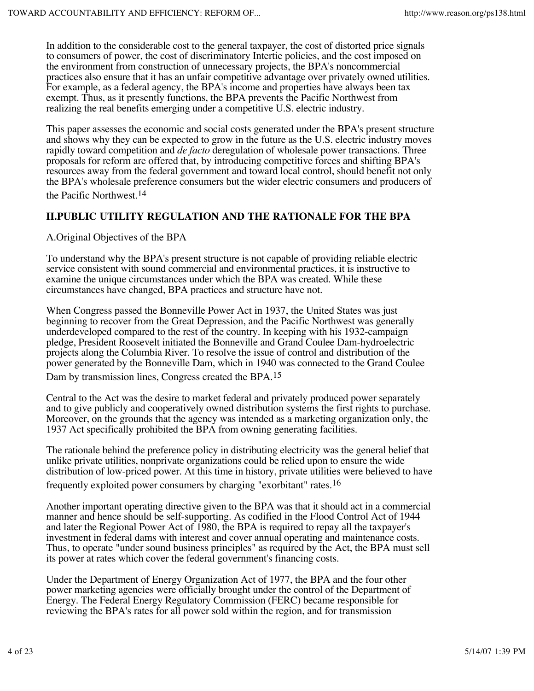In addition to the considerable cost to the general taxpayer, the cost of distorted price signals to consumers of power, the cost of discriminatory Intertie policies, and the cost imposed on the environment from construction of unnecessary projects, the BPA's noncommercial practices also ensure that it has an unfair competitive advantage over privately owned utilities. For example, as a federal agency, the BPA's income and properties have always been tax exempt. Thus, as it presently functions, the BPA prevents the Pacific Northwest from realizing the real benefits emerging under a competitive U.S. electric industry.

This paper assesses the economic and social costs generated under the BPA's present structure and shows why they can be expected to grow in the future as the U.S. electric industry moves rapidly toward competition and *de facto* deregulation of wholesale power transactions. Three proposals for reform are offered that, by introducing competitive forces and shifting BPA's resources away from the federal government and toward local control, should benefit not only the BPA's wholesale preference consumers but the wider electric consumers and producers of the Pacific Northwest.14

## **II.PUBLIC UTILITY REGULATION AND THE RATIONALE FOR THE BPA**

A.Original Objectives of the BPA

To understand why the BPA's present structure is not capable of providing reliable electric service consistent with sound commercial and environmental practices, it is instructive to examine the unique circumstances under which the BPA was created. While these circumstances have changed, BPA practices and structure have not.

When Congress passed the Bonneville Power Act in 1937, the United States was just beginning to recover from the Great Depression, and the Pacific Northwest was generally underdeveloped compared to the rest of the country. In keeping with his 1932-campaign pledge, President Roosevelt initiated the Bonneville and Grand Coulee Dam-hydroelectric projects along the Columbia River. To resolve the issue of control and distribution of the power generated by the Bonneville Dam, which in 1940 was connected to the Grand Coulee

Dam by transmission lines, Congress created the BPA.<sup>15</sup>

Central to the Act was the desire to market federal and privately produced power separately and to give publicly and cooperatively owned distribution systems the first rights to purchase. Moreover, on the grounds that the agency was intended as a marketing organization only, the 1937 Act specifically prohibited the BPA from owning generating facilities.

The rationale behind the preference policy in distributing electricity was the general belief that unlike private utilities, nonprivate organizations could be relied upon to ensure the wide distribution of low-priced power. At this time in history, private utilities were believed to have

frequently exploited power consumers by charging "exorbitant" rates.<sup>16</sup>

Another important operating directive given to the BPA was that it should act in a commercial manner and hence should be self-supporting. As codified in the Flood Control Act of 1944 and later the Regional Power Act of 1980, the BPA is required to repay all the taxpayer's investment in federal dams with interest and cover annual operating and maintenance costs. Thus, to operate "under sound business principles" as required by the Act, the BPA must sell its power at rates which cover the federal government's financing costs.

Under the Department of Energy Organization Act of 1977, the BPA and the four other power marketing agencies were officially brought under the control of the Department of Energy. The Federal Energy Regulatory Commission (FERC) became responsible for reviewing the BPA's rates for all power sold within the region, and for transmission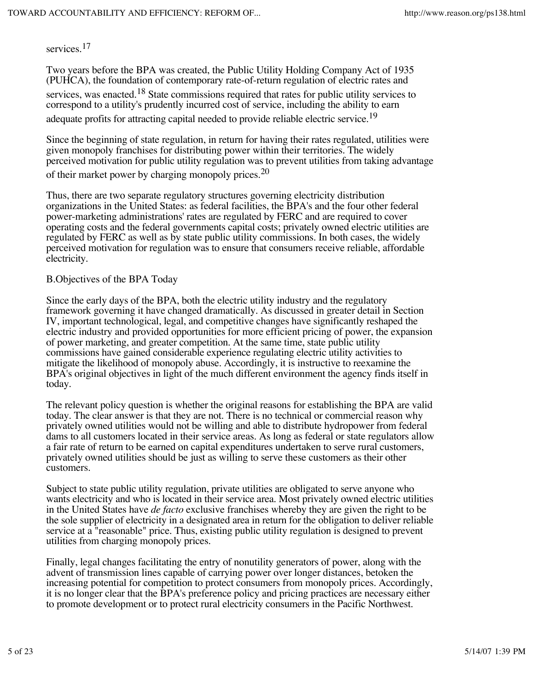services.<sup>17</sup>

Two years before the BPA was created, the Public Utility Holding Company Act of 1935 (PUHCA), the foundation of contemporary rate-of-return regulation of electric rates and services, was enacted.<sup>18</sup> State commissions required that rates for public utility services to correspond to a utility's prudently incurred cost of service, including the ability to earn adequate profits for attracting capital needed to provide reliable electric service.<sup>19</sup>

Since the beginning of state regulation, in return for having their rates regulated, utilities were given monopoly franchises for distributing power within their territories. The widely perceived motivation for public utility regulation was to prevent utilities from taking advantage of their market power by charging monopoly prices.<sup>20</sup>

Thus, there are two separate regulatory structures governing electricity distribution organizations in the United States: as federal facilities, the BPA's and the four other federal power-marketing administrations' rates are regulated by FERC and are required to cover operating costs and the federal governments capital costs; privately owned electric utilities are regulated by FERC as well as by state public utility commissions. In both cases, the widely perceived motivation for regulation was to ensure that consumers receive reliable, affordable electricity.

#### B.Objectives of the BPA Today

Since the early days of the BPA, both the electric utility industry and the regulatory framework governing it have changed dramatically. As discussed in greater detail in Section IV, important technological, legal, and competitive changes have significantly reshaped the electric industry and provided opportunities for more efficient pricing of power, the expansion of power marketing, and greater competition. At the same time, state public utility commissions have gained considerable experience regulating electric utility activities to mitigate the likelihood of monopoly abuse. Accordingly, it is instructive to reexamine the BPA's original objectives in light of the much different environment the agency finds itself in today.

The relevant policy question is whether the original reasons for establishing the BPA are valid today. The clear answer is that they are not. There is no technical or commercial reason why privately owned utilities would not be willing and able to distribute hydropower from federal dams to all customers located in their service areas. As long as federal or state regulators allow a fair rate of return to be earned on capital expenditures undertaken to serve rural customers, privately owned utilities should be just as willing to serve these customers as their other customers.

Subject to state public utility regulation, private utilities are obligated to serve anyone who wants electricity and who is located in their service area. Most privately owned electric utilities in the United States have *de facto* exclusive franchises whereby they are given the right to be the sole supplier of electricity in a designated area in return for the obligation to deliver reliable service at a "reasonable" price. Thus, existing public utility regulation is designed to prevent utilities from charging monopoly prices.

Finally, legal changes facilitating the entry of nonutility generators of power, along with the advent of transmission lines capable of carrying power over longer distances, betoken the increasing potential for competition to protect consumers from monopoly prices. Accordingly, it is no longer clear that the BPA's preference policy and pricing practices are necessary either to promote development or to protect rural electricity consumers in the Pacific Northwest.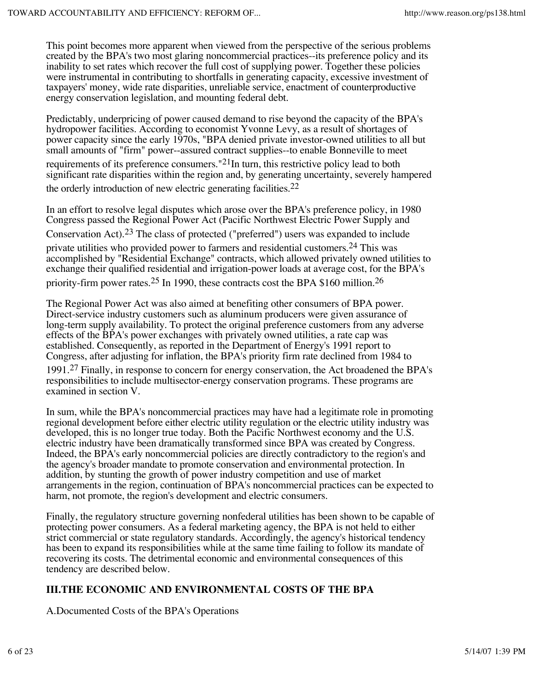This point becomes more apparent when viewed from the perspective of the serious problems created by the BPA's two most glaring noncommercial practices--its preference policy and its inability to set rates which recover the full cost of supplying power. Together these policies were instrumental in contributing to shortfalls in generating capacity, excessive investment of taxpayers' money, wide rate disparities, unreliable service, enactment of counterproductive energy conservation legislation, and mounting federal debt.

Predictably, underpricing of power caused demand to rise beyond the capacity of the BPA's hydropower facilities. According to economist Yvonne Levy, as a result of shortages of power capacity since the early 1970s, "BPA denied private investor-owned utilities to all but small amounts of "firm" power--assured contract supplies--to enable Bonneville to meet requirements of its preference consumers.<sup>"21</sup>In turn, this restrictive policy lead to both significant rate disparities within the region and, by generating uncertainty, severely hampered the orderly introduction of new electric generating facilities.<sup>22</sup>

In an effort to resolve legal disputes which arose over the BPA's preference policy, in 1980 Congress passed the Regional Power Act (Pacific Northwest Electric Power Supply and Conservation Act).<sup>23</sup> The class of protected ("preferred") users was expanded to include private utilities who provided power to farmers and residential customers.24 This was accomplished by "Residential Exchange" contracts, which allowed privately owned utilities to exchange their qualified residential and irrigation-power loads at average cost, for the BPA's priority-firm power rates.<sup>25</sup> In 1990, these contracts cost the BPA \$160 million.<sup>26</sup>

The Regional Power Act was also aimed at benefiting other consumers of BPA power. Direct-service industry customers such as aluminum producers were given assurance of long-term supply availability. To protect the original preference customers from any adverse effects of the BPA's power exchanges with privately owned utilities, a rate cap was established. Consequently, as reported in the Department of Energy's 1991 report to Congress, after adjusting for inflation, the BPA's priority firm rate declined from 1984 to

1991.27 Finally, in response to concern for energy conservation, the Act broadened the BPA's responsibilities to include multisector-energy conservation programs. These programs are examined in section V.

In sum, while the BPA's noncommercial practices may have had a legitimate role in promoting regional development before either electric utility regulation or the electric utility industry was developed, this is no longer true today. Both the Pacific Northwest economy and the U.S. electric industry have been dramatically transformed since BPA was created by Congress. Indeed, the BPA's early noncommercial policies are directly contradictory to the region's and the agency's broader mandate to promote conservation and environmental protection. In addition, by stunting the growth of power industry competition and use of market arrangements in the region, continuation of BPA's noncommercial practices can be expected to harm, not promote, the region's development and electric consumers.

Finally, the regulatory structure governing nonfederal utilities has been shown to be capable of protecting power consumers. As a federal marketing agency, the BPA is not held to either strict commercial or state regulatory standards. Accordingly, the agency's historical tendency has been to expand its responsibilities while at the same time failing to follow its mandate of recovering its costs. The detrimental economic and environmental consequences of this tendency are described below.

# **III.THE ECONOMIC AND ENVIRONMENTAL COSTS OF THE BPA**

A.Documented Costs of the BPA's Operations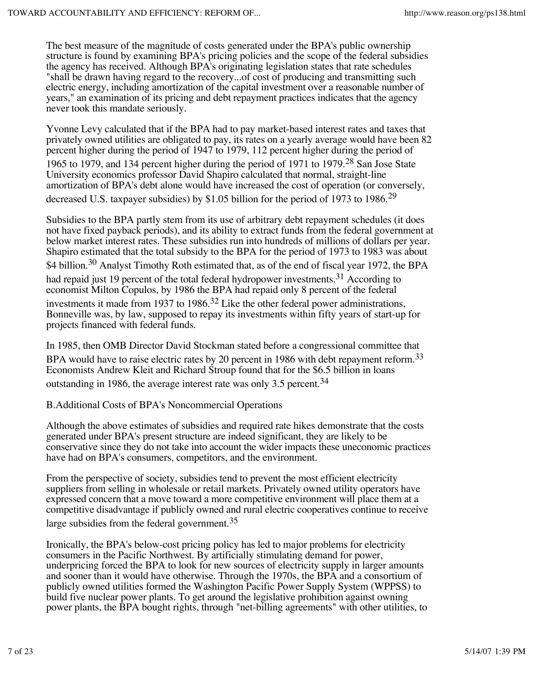The best measure of the magnitude of costs generated under the BPA's public ownership structure is found by examining BPA's pricing policies and the scope of the federal subsidies the agency has received. Although BPA's originating legislation states that rate schedules "shall be drawn having regard to the recovery...of cost of producing and transmitting such electric energy, including amortization of the capital investment over a reasonable number of years," an examination of its pricing and debt repayment practices indicates that the agency never took this mandate seriously.

Yvonne Levy calculated that if the BPA had to pay market-based interest rates and taxes that privately owned utilities are obligated to pay, its rates on a yearly average would have been 82 percent higher during the period of 1947 to 1979, 112 percent higher during the period of 1965 to 1979, and 134 percent higher during the period of 1971 to 1979.<sup>28</sup> San Jose State University economics professor David Shapiro calculated that normal, straight-line amortization of BPA's debt alone would have increased the cost of operation (or conversely, decreased U.S. taxpayer subsidies) by \$1.05 billion for the period of 1973 to 1986.<sup>29</sup>

Subsidies to the BPA partly stem from its use of arbitrary debt repayment schedules (it does not have fixed payback periods), and its ability to extract funds from the federal government at below market interest rates. These subsidies run into hundreds of millions of dollars per year. Shapiro estimated that the total subsidy to the BPA for the period of 1973 to 1983 was about \$4 billion.<sup>30</sup> Analyst Timothy Roth estimated that, as of the end of fiscal year 1972, the BPA had repaid just 19 percent of the total federal hydropower investments.<sup>31</sup> According to economist Milton Copulos, by 1986 the BPA had repaid only 8 percent of the federal investments it made from 1937 to 1986.<sup>32</sup> Like the other federal power administrations, Bonneville was, by law, supposed to repay its investments within fifty years of start-up for projects financed with federal funds.

In 1985, then OMB Director David Stockman stated before a congressional committee that BPA would have to raise electric rates by 20 percent in 1986 with debt repayment reform.<sup>33</sup> Economists Andrew Kleit and Richard Stroup found that for the \$6.5 billion in loans outstanding in 1986, the average interest rate was only 3.5 percent.  $34$ 

B.Additional Costs of BPA's Noncommercial Operations

Although the above estimates of subsidies and required rate hikes demonstrate that the costs generated under BPA's present structure are indeed significant, they are likely to be conservative since they do not take into account the wider impacts these uneconomic practices have had on BPA's consumers, competitors, and the environment.

From the perspective of society, subsidies tend to prevent the most efficient electricity suppliers from selling in wholesale or retail markets. Privately owned utility operators have expressed concern that a move toward a more competitive environment will place them at a competitive disadvantage if publicly owned and rural electric cooperatives continue to receive large subsidies from the federal government.<sup>35</sup>

Ironically, the BPA's below-cost pricing policy has led to major problems for electricity consumers in the Pacific Northwest. By artificially stimulating demand for power, underpricing forced the BPA to look for new sources of electricity supply in larger amounts and sooner than it would have otherwise. Through the 1970s, the BPA and a consortium of publicly owned utilities formed the Washington Pacific Power Supply System (WPPSS) to build five nuclear power plants. To get around the legislative prohibition against owning power plants, the BPA bought rights, through "net-billing agreements" with other utilities, to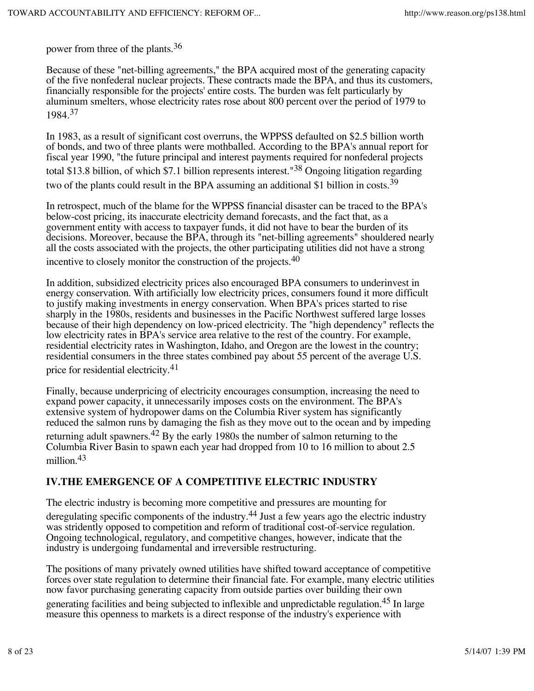power from three of the plants.36

Because of these "net-billing agreements," the BPA acquired most of the generating capacity of the five nonfederal nuclear projects. These contracts made the BPA, and thus its customers, financially responsible for the projects' entire costs. The burden was felt particularly by aluminum smelters, whose electricity rates rose about 800 percent over the period of 1979 to 1984.37

In 1983, as a result of significant cost overruns, the WPPSS defaulted on \$2.5 billion worth of bonds, and two of three plants were mothballed. According to the BPA's annual report for fiscal year 1990, "the future principal and interest payments required for nonfederal projects total \$13.8 billion, of which \$7.1 billion represents interest."38 Ongoing litigation regarding two of the plants could result in the BPA assuming an additional \$1 billion in costs.<sup>39</sup>

In retrospect, much of the blame for the WPPSS financial disaster can be traced to the BPA's below-cost pricing, its inaccurate electricity demand forecasts, and the fact that, as a government entity with access to taxpayer funds, it did not have to bear the burden of its decisions. Moreover, because the BPA, through its "net-billing agreements" shouldered nearly all the costs associated with the projects, the other participating utilities did not have a strong incentive to closely monitor the construction of the projects.40

In addition, subsidized electricity prices also encouraged BPA consumers to underinvest in energy conservation. With artificially low electricity prices, consumers found it more difficult to justify making investments in energy conservation. When BPA's prices started to rise sharply in the 1980s, residents and businesses in the Pacific Northwest suffered large losses because of their high dependency on low-priced electricity. The "high dependency" reflects the low electricity rates in BPA's service area relative to the rest of the country. For example, residential electricity rates in Washington, Idaho, and Oregon are the lowest in the country; residential consumers in the three states combined pay about 55 percent of the average U.S.

price for residential electricity.<sup>41</sup>

Finally, because underpricing of electricity encourages consumption, increasing the need to expand power capacity, it unnecessarily imposes costs on the environment. The BPA's extensive system of hydropower dams on the Columbia River system has significantly reduced the salmon runs by damaging the fish as they move out to the ocean and by impeding returning adult spawners.<sup>42</sup> By the early 1980s the number of salmon returning to the Columbia River Basin to spawn each year had dropped from 10 to 16 million to about 2.5 million.<sup>43</sup>

## **IV.THE EMERGENCE OF A COMPETITIVE ELECTRIC INDUSTRY**

The electric industry is becoming more competitive and pressures are mounting for

deregulating specific components of the industry.<sup>44</sup> Just a few years ago the electric industry was stridently opposed to competition and reform of traditional cost-of-service regulation. Ongoing technological, regulatory, and competitive changes, however, indicate that the industry is undergoing fundamental and irreversible restructuring.

The positions of many privately owned utilities have shifted toward acceptance of competitive forces over state regulation to determine their financial fate. For example, many electric utilities now favor purchasing generating capacity from outside parties over building their own

generating facilities and being subjected to inflexible and unpredictable regulation.<sup>45</sup> In large measure this openness to markets is a direct response of the industry's experience with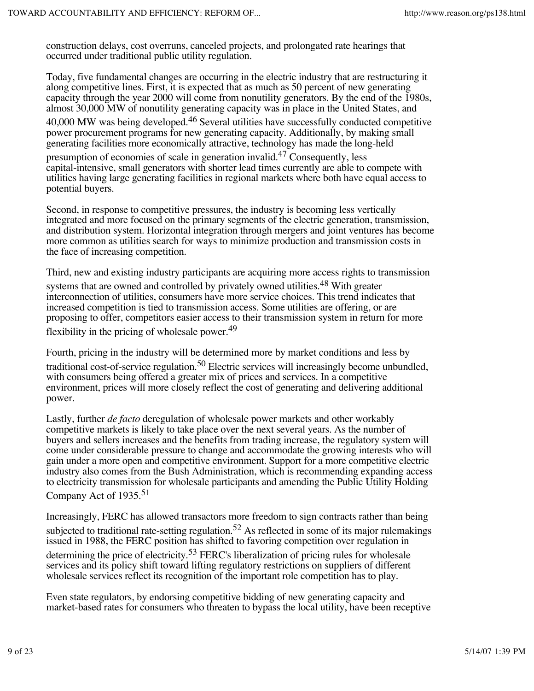construction delays, cost overruns, canceled projects, and prolongated rate hearings that occurred under traditional public utility regulation.

Today, five fundamental changes are occurring in the electric industry that are restructuring it along competitive lines. First, it is expected that as much as 50 percent of new generating capacity through the year 2000 will come from nonutility generators. By the end of the 1980s, almost 30,000 MW of nonutility generating capacity was in place in the United States, and  $40,000$  MW was being developed.<sup>46</sup> Several utilities have successfully conducted competitive power procurement programs for new generating capacity. Additionally, by making small generating facilities more economically attractive, technology has made the long-held

presumption of economies of scale in generation invalid.47 Consequently, less capital-intensive, small generators with shorter lead times currently are able to compete with utilities having large generating facilities in regional markets where both have equal access to potential buyers.

Second, in response to competitive pressures, the industry is becoming less vertically integrated and more focused on the primary segments of the electric generation, transmission, and distribution system. Horizontal integration through mergers and joint ventures has become more common as utilities search for ways to minimize production and transmission costs in the face of increasing competition.

Third, new and existing industry participants are acquiring more access rights to transmission

systems that are owned and controlled by privately owned utilities.<sup>48</sup> With greater interconnection of utilities, consumers have more service choices. This trend indicates that increased competition is tied to transmission access. Some utilities are offering, or are proposing to offer, competitors easier access to their transmission system in return for more flexibility in the pricing of wholesale power.<sup>49</sup>

Fourth, pricing in the industry will be determined more by market conditions and less by traditional cost-of-service regulation.<sup>50</sup> Electric services will increasingly become unbundled, with consumers being offered a greater mix of prices and services. In a competitive environment, prices will more closely reflect the cost of generating and delivering additional power.

Lastly, further *de facto* deregulation of wholesale power markets and other workably competitive markets is likely to take place over the next several years. As the number of buyers and sellers increases and the benefits from trading increase, the regulatory system will come under considerable pressure to change and accommodate the growing interests who will gain under a more open and competitive environment. Support for a more competitive electric industry also comes from the Bush Administration, which is recommending expanding access to electricity transmission for wholesale participants and amending the Public Utility Holding Company Act of 1935.<sup>51</sup>

Increasingly, FERC has allowed transactors more freedom to sign contracts rather than being subjected to traditional rate-setting regulation.<sup>52</sup> As reflected in some of its major rulemakings issued in 1988, the FERC position has shifted to favoring competition over regulation in determining the price of electricity.<sup>53</sup> FERC's liberalization of pricing rules for wholesale services and its policy shift toward lifting regulatory restrictions on suppliers of different wholesale services reflect its recognition of the important role competition has to play.

Even state regulators, by endorsing competitive bidding of new generating capacity and market-based rates for consumers who threaten to bypass the local utility, have been receptive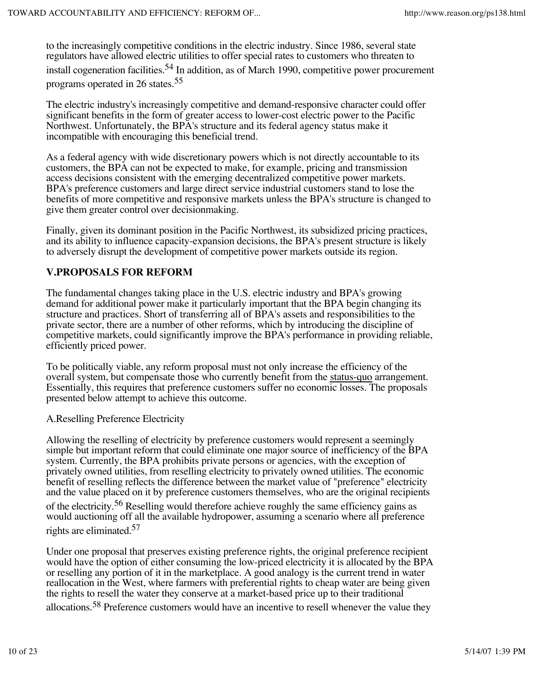to the increasingly competitive conditions in the electric industry. Since 1986, several state regulators have allowed electric utilities to offer special rates to customers who threaten to install cogeneration facilities.<sup>54</sup> In addition, as of March 1990, competitive power procurement programs operated in 26 states.<sup>55</sup>

The electric industry's increasingly competitive and demand-responsive character could offer significant benefits in the form of greater access to lower-cost electric power to the Pacific Northwest. Unfortunately, the BPA's structure and its federal agency status make it incompatible with encouraging this beneficial trend.

As a federal agency with wide discretionary powers which is not directly accountable to its customers, the BPA can not be expected to make, for example, pricing and transmission access decisions consistent with the emerging decentralized competitive power markets. BPA's preference customers and large direct service industrial customers stand to lose the benefits of more competitive and responsive markets unless the BPA's structure is changed to give them greater control over decisionmaking.

Finally, given its dominant position in the Pacific Northwest, its subsidized pricing practices, and its ability to influence capacity-expansion decisions, the BPA's present structure is likely to adversely disrupt the development of competitive power markets outside its region.

## **V.PROPOSALS FOR REFORM**

The fundamental changes taking place in the U.S. electric industry and BPA's growing demand for additional power make it particularly important that the BPA begin changing its structure and practices. Short of transferring all of BPA's assets and responsibilities to the private sector, there are a number of other reforms, which by introducing the discipline of competitive markets, could significantly improve the BPA's performance in providing reliable, efficiently priced power.

To be politically viable, any reform proposal must not only increase the efficiency of the overall system, but compensate those who currently benefit from the status-quo arrangement. Essentially, this requires that preference customers suffer no economic losses. The proposals presented below attempt to achieve this outcome.

### A.Reselling Preference Electricity

Allowing the reselling of electricity by preference customers would represent a seemingly simple but important reform that could eliminate one major source of inefficiency of the BPA system. Currently, the BPA prohibits private persons or agencies, with the exception of privately owned utilities, from reselling electricity to privately owned utilities. The economic benefit of reselling reflects the difference between the market value of "preference" electricity and the value placed on it by preference customers themselves, who are the original recipients of the electricity.<sup>56</sup> Reselling would therefore achieve roughly the same efficiency gains as would auctioning off all the available hydropower, assuming a scenario where all preference rights are eliminated.<sup>57</sup>

Under one proposal that preserves existing preference rights, the original preference recipient would have the option of either consuming the low-priced electricity it is allocated by the BPA or reselling any portion of it in the marketplace. A good analogy is the current trend in water reallocation in the West, where farmers with preferential rights to cheap water are being given the rights to resell the water they conserve at a market-based price up to their traditional allocations.<sup>58</sup> Preference customers would have an incentive to resell whenever the value they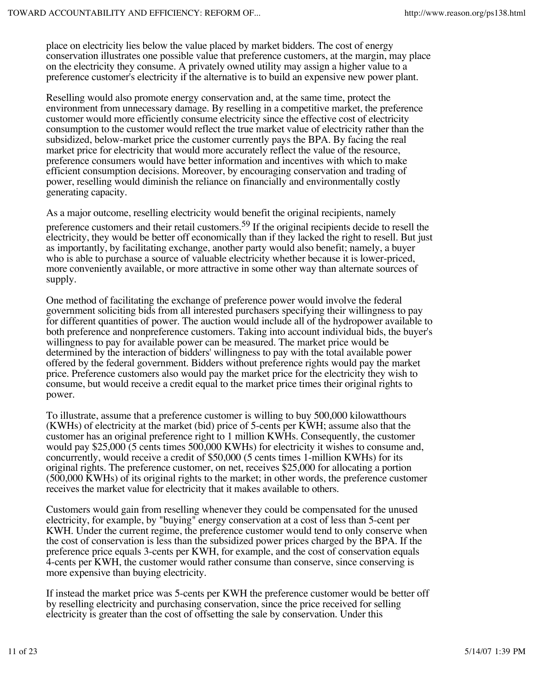place on electricity lies below the value placed by market bidders. The cost of energy conservation illustrates one possible value that preference customers, at the margin, may place on the electricity they consume. A privately owned utility may assign a higher value to a preference customer's electricity if the alternative is to build an expensive new power plant.

Reselling would also promote energy conservation and, at the same time, protect the environment from unnecessary damage. By reselling in a competitive market, the preference customer would more efficiently consume electricity since the effective cost of electricity consumption to the customer would reflect the true market value of electricity rather than the subsidized, below-market price the customer currently pays the BPA. By facing the real market price for electricity that would more accurately reflect the value of the resource, preference consumers would have better information and incentives with which to make efficient consumption decisions. Moreover, by encouraging conservation and trading of power, reselling would diminish the reliance on financially and environmentally costly generating capacity.

As a major outcome, reselling electricity would benefit the original recipients, namely preference customers and their retail customers.<sup>59</sup> If the original recipients decide to resell the electricity, they would be better off economically than if they lacked the right to resell. But just as importantly, by facilitating exchange, another party would also benefit; namely, a buyer who is able to purchase a source of valuable electricity whether because it is lower-priced, more conveniently available, or more attractive in some other way than alternate sources of

One method of facilitating the exchange of preference power would involve the federal government soliciting bids from all interested purchasers specifying their willingness to pay for different quantities of power. The auction would include all of the hydropower available to both preference and nonpreference customers. Taking into account individual bids, the buyer's willingness to pay for available power can be measured. The market price would be determined by the interaction of bidders' willingness to pay with the total available power offered by the federal government. Bidders without preference rights would pay the market price. Preference customers also would pay the market price for the electricity they wish to consume, but would receive a credit equal to the market price times their original rights to power.

To illustrate, assume that a preference customer is willing to buy 500,000 kilowatthours (KWHs) of electricity at the market (bid) price of 5-cents per KWH; assume also that the customer has an original preference right to 1 million KWHs. Consequently, the customer would pay \$25,000 (5 cents times 500,000 KWHs) for electricity it wishes to consume and, concurrently, would receive a credit of \$50,000 (5 cents times 1-million KWHs) for its original rights. The preference customer, on net, receives \$25,000 for allocating a portion (500,000 KWHs) of its original rights to the market; in other words, the preference customer receives the market value for electricity that it makes available to others.

Customers would gain from reselling whenever they could be compensated for the unused electricity, for example, by "buying" energy conservation at a cost of less than 5-cent per KWH. Under the current regime, the preference customer would tend to only conserve when the cost of conservation is less than the subsidized power prices charged by the BPA. If the preference price equals 3-cents per KWH, for example, and the cost of conservation equals 4-cents per KWH, the customer would rather consume than conserve, since conserving is more expensive than buying electricity.

If instead the market price was 5-cents per KWH the preference customer would be better off by reselling electricity and purchasing conservation, since the price received for selling electricity is greater than the cost of offsetting the sale by conservation. Under this

supply.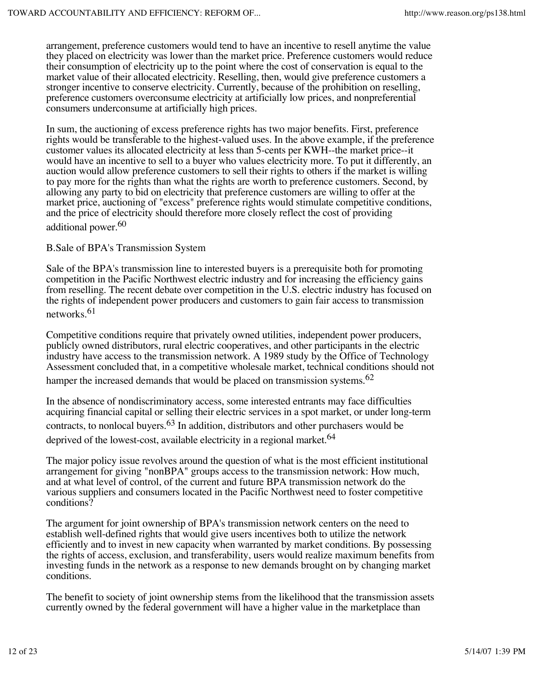arrangement, preference customers would tend to have an incentive to resell anytime the value they placed on electricity was lower than the market price. Preference customers would reduce their consumption of electricity up to the point where the cost of conservation is equal to the market value of their allocated electricity. Reselling, then, would give preference customers a stronger incentive to conserve electricity. Currently, because of the prohibition on reselling, preference customers overconsume electricity at artificially low prices, and nonpreferential consumers underconsume at artificially high prices.

In sum, the auctioning of excess preference rights has two major benefits. First, preference rights would be transferable to the highest-valued uses. In the above example, if the preference customer values its allocated electricity at less than 5-cents per KWH--the market price--it would have an incentive to sell to a buyer who values electricity more. To put it differently, an auction would allow preference customers to sell their rights to others if the market is willing to pay more for the rights than what the rights are worth to preference customers. Second, by allowing any party to bid on electricity that preference customers are willing to offer at the market price, auctioning of "excess" preference rights would stimulate competitive conditions, and the price of electricity should therefore more closely reflect the cost of providing additional power.<sup>60</sup>

B.Sale of BPA's Transmission System

Sale of the BPA's transmission line to interested buyers is a prerequisite both for promoting competition in the Pacific Northwest electric industry and for increasing the efficiency gains from reselling. The recent debate over competition in the U.S. electric industry has focused on the rights of independent power producers and customers to gain fair access to transmission networks.<sup>61</sup>

Competitive conditions require that privately owned utilities, independent power producers, publicly owned distributors, rural electric cooperatives, and other participants in the electric industry have access to the transmission network. A 1989 study by the Office of Technology Assessment concluded that, in a competitive wholesale market, technical conditions should not hamper the increased demands that would be placed on transmission systems.<sup>62</sup>

In the absence of nondiscriminatory access, some interested entrants may face difficulties acquiring financial capital or selling their electric services in a spot market, or under long-term contracts, to nonlocal buyers.<sup>63</sup> In addition, distributors and other purchasers would be deprived of the lowest-cost, available electricity in a regional market.<sup>64</sup>

The major policy issue revolves around the question of what is the most efficient institutional arrangement for giving "nonBPA" groups access to the transmission network: How much, and at what level of control, of the current and future BPA transmission network do the various suppliers and consumers located in the Pacific Northwest need to foster competitive conditions?

The argument for joint ownership of BPA's transmission network centers on the need to establish well-defined rights that would give users incentives both to utilize the network efficiently and to invest in new capacity when warranted by market conditions. By possessing the rights of access, exclusion, and transferability, users would realize maximum benefits from investing funds in the network as a response to new demands brought on by changing market conditions.

The benefit to society of joint ownership stems from the likelihood that the transmission assets currently owned by the federal government will have a higher value in the marketplace than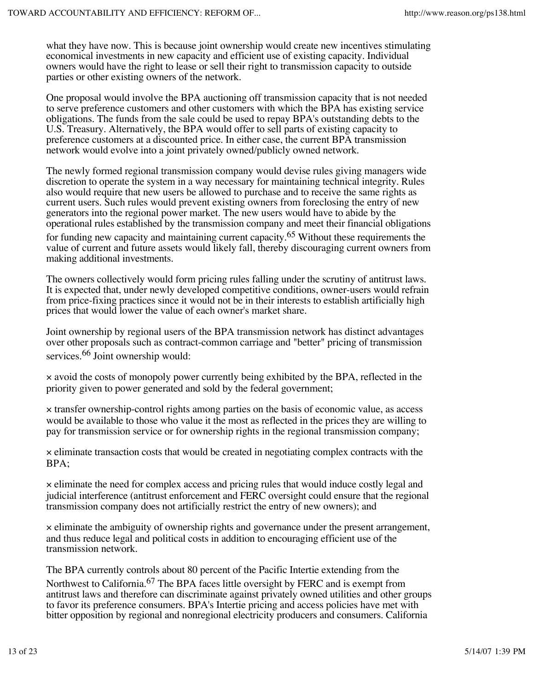what they have now. This is because joint ownership would create new incentives stimulating economical investments in new capacity and efficient use of existing capacity. Individual owners would have the right to lease or sell their right to transmission capacity to outside parties or other existing owners of the network.

One proposal would involve the BPA auctioning off transmission capacity that is not needed to serve preference customers and other customers with which the BPA has existing service obligations. The funds from the sale could be used to repay BPA's outstanding debts to the U.S. Treasury. Alternatively, the BPA would offer to sell parts of existing capacity to preference customers at a discounted price. In either case, the current BPA transmission network would evolve into a joint privately owned/publicly owned network.

The newly formed regional transmission company would devise rules giving managers wide discretion to operate the system in a way necessary for maintaining technical integrity. Rules also would require that new users be allowed to purchase and to receive the same rights as current users. Such rules would prevent existing owners from foreclosing the entry of new generators into the regional power market. The new users would have to abide by the operational rules established by the transmission company and meet their financial obligations for funding new capacity and maintaining current capacity.<sup>65</sup> Without these requirements the value of current and future assets would likely fall, thereby discouraging current owners from making additional investments.

The owners collectively would form pricing rules falling under the scrutiny of antitrust laws. It is expected that, under newly developed competitive conditions, owner-users would refrain from price-fixing practices since it would not be in their interests to establish artificially high prices that would lower the value of each owner's market share.

Joint ownership by regional users of the BPA transmission network has distinct advantages over other proposals such as contract-common carriage and "better" pricing of transmission services.<sup>66</sup> Joint ownership would:

× avoid the costs of monopoly power currently being exhibited by the BPA, reflected in the priority given to power generated and sold by the federal government;

× transfer ownership-control rights among parties on the basis of economic value, as access would be available to those who value it the most as reflected in the prices they are willing to pay for transmission service or for ownership rights in the regional transmission company;

× eliminate transaction costs that would be created in negotiating complex contracts with the BPA;

× eliminate the need for complex access and pricing rules that would induce costly legal and judicial interference (antitrust enforcement and FERC oversight could ensure that the regional transmission company does not artificially restrict the entry of new owners); and

× eliminate the ambiguity of ownership rights and governance under the present arrangement, and thus reduce legal and political costs in addition to encouraging efficient use of the transmission network.

The BPA currently controls about 80 percent of the Pacific Intertie extending from the Northwest to California.<sup>67</sup> The BPA faces little oversight by FERC and is exempt from antitrust laws and therefore can discriminate against privately owned utilities and other groups to favor its preference consumers. BPA's Intertie pricing and access policies have met with bitter opposition by regional and nonregional electricity producers and consumers. California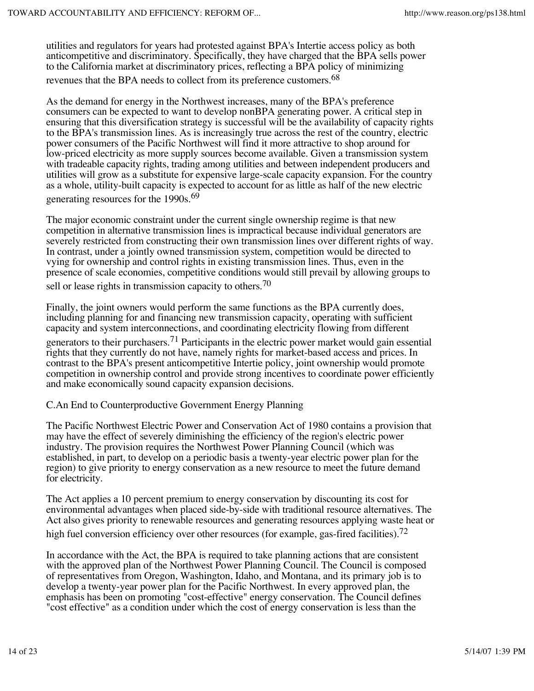utilities and regulators for years had protested against BPA's Intertie access policy as both anticompetitive and discriminatory. Specifically, they have charged that the BPA sells power to the California market at discriminatory prices, reflecting a BPA policy of minimizing revenues that the BPA needs to collect from its preference customers.<sup>68</sup>

As the demand for energy in the Northwest increases, many of the BPA's preference consumers can be expected to want to develop nonBPA generating power. A critical step in ensuring that this diversification strategy is successful will be the availability of capacity rights to the BPA's transmission lines. As is increasingly true across the rest of the country, electric power consumers of the Pacific Northwest will find it more attractive to shop around for low-priced electricity as more supply sources become available. Given a transmission system with tradeable capacity rights, trading among utilities and between independent producers and utilities will grow as a substitute for expensive large-scale capacity expansion. For the country as a whole, utility-built capacity is expected to account for as little as half of the new electric generating resources for the 1990s.<sup>69</sup>

The major economic constraint under the current single ownership regime is that new competition in alternative transmission lines is impractical because individual generators are severely restricted from constructing their own transmission lines over different rights of way. In contrast, under a jointly owned transmission system, competition would be directed to vying for ownership and control rights in existing transmission lines. Thus, even in the presence of scale economies, competitive conditions would still prevail by allowing groups to

sell or lease rights in transmission capacity to others.<sup>70</sup>

Finally, the joint owners would perform the same functions as the BPA currently does, including planning for and financing new transmission capacity, operating with sufficient capacity and system interconnections, and coordinating electricity flowing from different

generators to their purchasers.<sup>71</sup> Participants in the electric power market would gain essential rights that they currently do not have, namely rights for market-based access and prices. In contrast to the BPA's present anticompetitive Intertie policy, joint ownership would promote competition in ownership control and provide strong incentives to coordinate power efficiently and make economically sound capacity expansion decisions.

C.An End to Counterproductive Government Energy Planning

The Pacific Northwest Electric Power and Conservation Act of 1980 contains a provision that may have the effect of severely diminishing the efficiency of the region's electric power industry. The provision requires the Northwest Power Planning Council (which was established, in part, to develop on a periodic basis a twenty-year electric power plan for the region) to give priority to energy conservation as a new resource to meet the future demand for electricity.

The Act applies a 10 percent premium to energy conservation by discounting its cost for environmental advantages when placed side-by-side with traditional resource alternatives. The Act also gives priority to renewable resources and generating resources applying waste heat or high fuel conversion efficiency over other resources (for example, gas-fired facilities).<sup>72</sup>

In accordance with the Act, the BPA is required to take planning actions that are consistent with the approved plan of the Northwest Power Planning Council. The Council is composed of representatives from Oregon, Washington, Idaho, and Montana, and its primary job is to develop a twenty-year power plan for the Pacific Northwest. In every approved plan, the emphasis has been on promoting "cost-effective" energy conservation. The Council defines "cost effective" as a condition under which the cost of energy conservation is less than the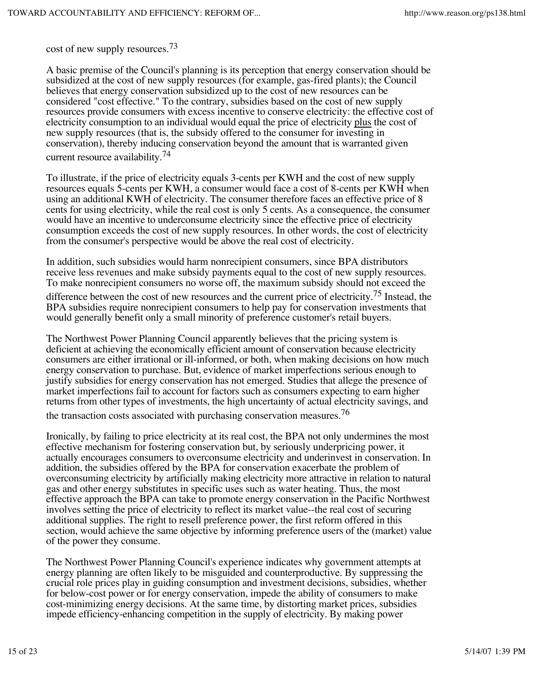cost of new supply resources.73

A basic premise of the Council's planning is its perception that energy conservation should be subsidized at the cost of new supply resources (for example, gas-fired plants); the Council believes that energy conservation subsidized up to the cost of new resources can be considered "cost effective." To the contrary, subsidies based on the cost of new supply resources provide consumers with excess incentive to conserve electricity: the effective cost of electricity consumption to an individual would equal the price of electricity plus the cost of new supply resources (that is, the subsidy offered to the consumer for investing in conservation), thereby inducing conservation beyond the amount that is warranted given current resource availability.<sup>74</sup>

To illustrate, if the price of electricity equals 3-cents per KWH and the cost of new supply resources equals 5-cents per KWH, a consumer would face a cost of 8-cents per KWH when using an additional KWH of electricity. The consumer therefore faces an effective price of 8 cents for using electricity, while the real cost is only 5 cents. As a consequence, the consumer would have an incentive to underconsume electricity since the effective price of electricity consumption exceeds the cost of new supply resources. In other words, the cost of electricity from the consumer's perspective would be above the real cost of electricity.

In addition, such subsidies would harm nonrecipient consumers, since BPA distributors receive less revenues and make subsidy payments equal to the cost of new supply resources. To make nonrecipient consumers no worse off, the maximum subsidy should not exceed the

difference between the cost of new resources and the current price of electricity.<sup>75</sup> Instead, the BPA subsidies require nonrecipient consumers to help pay for conservation investments that would generally benefit only a small minority of preference customer's retail buyers.

The Northwest Power Planning Council apparently believes that the pricing system is deficient at achieving the economically efficient amount of conservation because electricity consumers are either irrational or ill-informed, or both, when making decisions on how much energy conservation to purchase. But, evidence of market imperfections serious enough to justify subsidies for energy conservation has not emerged. Studies that allege the presence of market imperfections fail to account for factors such as consumers expecting to earn higher returns from other types of investments, the high uncertainty of actual electricity savings, and the transaction costs associated with purchasing conservation measures.<sup>76</sup>

Ironically, by failing to price electricity at its real cost, the BPA not only undermines the most effective mechanism for fostering conservation but, by seriously underpricing power, it actually encourages consumers to overconsume electricity and underinvest in conservation. In addition, the subsidies offered by the BPA for conservation exacerbate the problem of overconsuming electricity by artificially making electricity more attractive in relation to natural gas and other energy substitutes in specific uses such as water heating. Thus, the most effective approach the BPA can take to promote energy conservation in the Pacific Northwest involves setting the price of electricity to reflect its market value--the real cost of securing additional supplies. The right to resell preference power, the first reform offered in this section, would achieve the same objective by informing preference users of the (market) value of the power they consume.

The Northwest Power Planning Council's experience indicates why government attempts at energy planning are often likely to be misguided and counterproductive. By suppressing the crucial role prices play in guiding consumption and investment decisions, subsidies, whether for below-cost power or for energy conservation, impede the ability of consumers to make cost-minimizing energy decisions. At the same time, by distorting market prices, subsidies impede efficiency-enhancing competition in the supply of electricity. By making power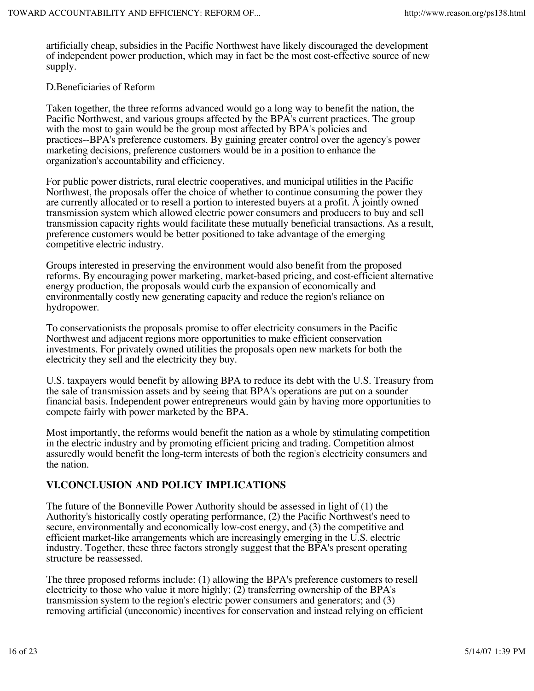artificially cheap, subsidies in the Pacific Northwest have likely discouraged the development of independent power production, which may in fact be the most cost-effective source of new supply.

#### D.Beneficiaries of Reform

Taken together, the three reforms advanced would go a long way to benefit the nation, the Pacific Northwest, and various groups affected by the BPA's current practices. The group with the most to gain would be the group most affected by BPA's policies and practices--BPA's preference customers. By gaining greater control over the agency's power marketing decisions, preference customers would be in a position to enhance the organization's accountability and efficiency.

For public power districts, rural electric cooperatives, and municipal utilities in the Pacific Northwest, the proposals offer the choice of whether to continue consuming the power they are currently allocated or to resell a portion to interested buyers at a profit. A jointly owned transmission system which allowed electric power consumers and producers to buy and sell transmission capacity rights would facilitate these mutually beneficial transactions. As a result, preference customers would be better positioned to take advantage of the emerging competitive electric industry.

Groups interested in preserving the environment would also benefit from the proposed reforms. By encouraging power marketing, market-based pricing, and cost-efficient alternative energy production, the proposals would curb the expansion of economically and environmentally costly new generating capacity and reduce the region's reliance on hydropower.

To conservationists the proposals promise to offer electricity consumers in the Pacific Northwest and adjacent regions more opportunities to make efficient conservation investments. For privately owned utilities the proposals open new markets for both the electricity they sell and the electricity they buy.

U.S. taxpayers would benefit by allowing BPA to reduce its debt with the U.S. Treasury from the sale of transmission assets and by seeing that BPA's operations are put on a sounder financial basis. Independent power entrepreneurs would gain by having more opportunities to compete fairly with power marketed by the BPA.

Most importantly, the reforms would benefit the nation as a whole by stimulating competition in the electric industry and by promoting efficient pricing and trading. Competition almost assuredly would benefit the long-term interests of both the region's electricity consumers and the nation.

## **VI.CONCLUSION AND POLICY IMPLICATIONS**

The future of the Bonneville Power Authority should be assessed in light of (1) the Authority's historically costly operating performance, (2) the Pacific Northwest's need to secure, environmentally and economically low-cost energy, and (3) the competitive and efficient market-like arrangements which are increasingly emerging in the U.S. electric industry. Together, these three factors strongly suggest that the BPA's present operating structure be reassessed.

The three proposed reforms include: (1) allowing the BPA's preference customers to resell electricity to those who value it more highly; (2) transferring ownership of the BPA's transmission system to the region's electric power consumers and generators; and (3) removing artificial (uneconomic) incentives for conservation and instead relying on efficient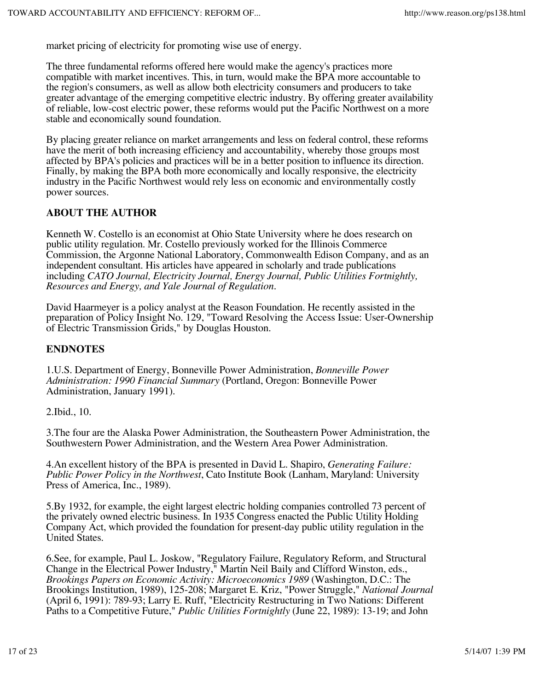market pricing of electricity for promoting wise use of energy.

The three fundamental reforms offered here would make the agency's practices more compatible with market incentives. This, in turn, would make the BPA more accountable to the region's consumers, as well as allow both electricity consumers and producers to take greater advantage of the emerging competitive electric industry. By offering greater availability of reliable, low-cost electric power, these reforms would put the Pacific Northwest on a more stable and economically sound foundation.

By placing greater reliance on market arrangements and less on federal control, these reforms have the merit of both increasing efficiency and accountability, whereby those groups most affected by BPA's policies and practices will be in a better position to influence its direction. Finally, by making the BPA both more economically and locally responsive, the electricity industry in the Pacific Northwest would rely less on economic and environmentally costly power sources.

### **ABOUT THE AUTHOR**

Kenneth W. Costello is an economist at Ohio State University where he does research on public utility regulation. Mr. Costello previously worked for the Illinois Commerce Commission, the Argonne National Laboratory, Commonwealth Edison Company, and as an independent consultant. His articles have appeared in scholarly and trade publications including *CATO Journal, Electricity Journal, Energy Journal, Public Utilities Fortnightly, Resources and Energy, and Yale Journal of Regulation*.

David Haarmeyer is a policy analyst at the Reason Foundation. He recently assisted in the preparation of Policy Insight No. 129, "Toward Resolving the Access Issue: User-Ownership of Electric Transmission Grids," by Douglas Houston.

### **ENDNOTES**

1.U.S. Department of Energy, Bonneville Power Administration, *Bonneville Power Administration: 1990 Financial Summary* (Portland, Oregon: Bonneville Power Administration, January 1991).

2.Ibid., 10.

3.The four are the Alaska Power Administration, the Southeastern Power Administration, the Southwestern Power Administration, and the Western Area Power Administration.

4.An excellent history of the BPA is presented in David L. Shapiro, *Generating Failure: Public Power Policy in the Northwest*, Cato Institute Book (Lanham, Maryland: University Press of America, Inc., 1989).

5.By 1932, for example, the eight largest electric holding companies controlled 73 percent of the privately owned electric business. In 1935 Congress enacted the Public Utility Holding Company Act, which provided the foundation for present-day public utility regulation in the United States.

6.See, for example, Paul L. Joskow, "Regulatory Failure, Regulatory Reform, and Structural Change in the Electrical Power Industry," Martin Neil Baily and Clifford Winston, eds., *Brookings Papers on Economic Activity: Microeconomics 1989* (Washington, D.C.: The Brookings Institution, 1989), 125-208; Margaret E. Kriz, "Power Struggle," *National Journal* (April 6, 1991): 789-93; Larry E. Ruff, "Electricity Restructuring in Two Nations: Different Paths to a Competitive Future," *Public Utilities Fortnightly* (June 22, 1989): 13-19; and John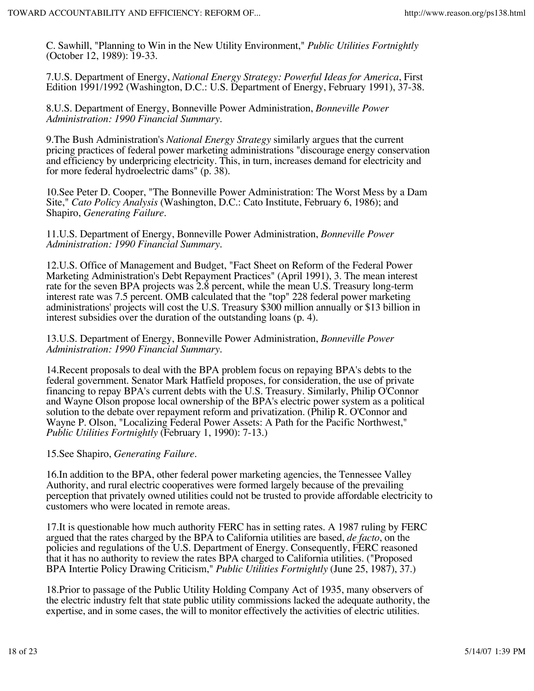C. Sawhill, "Planning to Win in the New Utility Environment," *Public Utilities Fortnightly* (October 12, 1989): 19-33.

7.U.S. Department of Energy, *National Energy Strategy: Powerful Ideas for America*, First Edition 1991/1992 (Washington, D.C.: U.S. Department of Energy, February 1991), 37-38.

8.U.S. Department of Energy, Bonneville Power Administration, *Bonneville Power Administration: 1990 Financial Summary*.

9.The Bush Administration's *National Energy Strategy* similarly argues that the current pricing practices of federal power marketing administrations "discourage energy conservation and efficiency by underpricing electricity. This, in turn, increases demand for electricity and for more federal hydroelectric dams" (p. 38).

10.See Peter D. Cooper, "The Bonneville Power Administration: The Worst Mess by a Dam Site," *Cato Policy Analysis* (Washington, D.C.: Cato Institute, February 6, 1986); and Shapiro, *Generating Failure*.

11.U.S. Department of Energy, Bonneville Power Administration, *Bonneville Power Administration: 1990 Financial Summary*.

12.U.S. Office of Management and Budget, "Fact Sheet on Reform of the Federal Power Marketing Administration's Debt Repayment Practices" (April 1991), 3. The mean interest rate for the seven BPA projects was 2.8 percent, while the mean U.S. Treasury long-term interest rate was 7.5 percent. OMB calculated that the "top" 228 federal power marketing administrations' projects will cost the U.S. Treasury \$300 million annually or \$13 billion in interest subsidies over the duration of the outstanding loans (p. 4).

13.U.S. Department of Energy, Bonneville Power Administration, *Bonneville Power Administration: 1990 Financial Summary*.

14.Recent proposals to deal with the BPA problem focus on repaying BPA's debts to the federal government. Senator Mark Hatfield proposes, for consideration, the use of private financing to repay BPA's current debts with the U.S. Treasury. Similarly, Philip O'Connor and Wayne Olson propose local ownership of the BPA's electric power system as a political solution to the debate over repayment reform and privatization. (Philip R. O'Connor and Wayne P. Olson, "Localizing Federal Power Assets: A Path for the Pacific Northwest," *Public Utilities Fortnightly* (February 1, 1990): 7-13.)

15.See Shapiro, *Generating Failure*.

16.In addition to the BPA, other federal power marketing agencies, the Tennessee Valley Authority, and rural electric cooperatives were formed largely because of the prevailing perception that privately owned utilities could not be trusted to provide affordable electricity to customers who were located in remote areas.

17.It is questionable how much authority FERC has in setting rates. A 1987 ruling by FERC argued that the rates charged by the BPA to California utilities are based, *de facto*, on the policies and regulations of the U.S. Department of Energy. Consequently, FERC reasoned that it has no authority to review the rates BPA charged to California utilities. ("Proposed BPA Intertie Policy Drawing Criticism," *Public Utilities Fortnightly* (June 25, 1987), 37.)

18.Prior to passage of the Public Utility Holding Company Act of 1935, many observers of the electric industry felt that state public utility commissions lacked the adequate authority, the expertise, and in some cases, the will to monitor effectively the activities of electric utilities.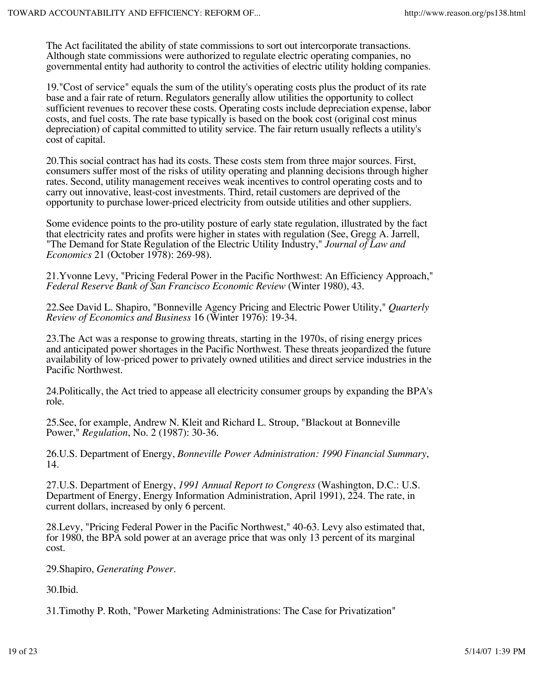The Act facilitated the ability of state commissions to sort out intercorporate transactions. Although state commissions were authorized to regulate electric operating companies, no governmental entity had authority to control the activities of electric utility holding companies.

19."Cost of service" equals the sum of the utility's operating costs plus the product of its rate base and a fair rate of return. Regulators generally allow utilities the opportunity to collect sufficient revenues to recover these costs. Operating costs include depreciation expense, labor costs, and fuel costs. The rate base typically is based on the book cost (original cost minus depreciation) of capital committed to utility service. The fair return usually reflects a utility's cost of capital.

20.This social contract has had its costs. These costs stem from three major sources. First, consumers suffer most of the risks of utility operating and planning decisions through higher rates. Second, utility management receives weak incentives to control operating costs and to carry out innovative, least-cost investments. Third, retail customers are deprived of the opportunity to purchase lower-priced electricity from outside utilities and other suppliers.

Some evidence points to the pro-utility posture of early state regulation, illustrated by the fact that electricity rates and profits were higher in states with regulation (See, Gregg A. Jarrell, "The Demand for State Regulation of the Electric Utility Industry," *Journal of Law and Economics* 21 (October 1978): 269-98).

21.Yvonne Levy, "Pricing Federal Power in the Pacific Northwest: An Efficiency Approach," *Federal Reserve Bank of San Francisco Economic Review* (Winter 1980), 43.

22.See David L. Shapiro, "Bonneville Agency Pricing and Electric Power Utility," *Quarterly Review of Economics and Business* 16 (Winter 1976): 19-34.

23.The Act was a response to growing threats, starting in the 1970s, of rising energy prices and anticipated power shortages in the Pacific Northwest. These threats jeopardized the future availability of low-priced power to privately owned utilities and direct service industries in the Pacific Northwest.

24.Politically, the Act tried to appease all electricity consumer groups by expanding the BPA's role.

25.See, for example, Andrew N. Kleit and Richard L. Stroup, "Blackout at Bonneville Power," *Regulation*, No. 2 (1987): 30-36.

26.U.S. Department of Energy, *Bonneville Power Administration: 1990 Financial Summary*, 14.

27.U.S. Department of Energy, *1991 Annual Report to Congress* (Washington, D.C.: U.S. Department of Energy, Energy Information Administration, April 1991), 224. The rate, in current dollars, increased by only 6 percent.

28.Levy, "Pricing Federal Power in the Pacific Northwest," 40-63. Levy also estimated that, for 1980, the BPA sold power at an average price that was only 13 percent of its marginal cost.

29.Shapiro, *Generating Power*.

30.Ibid.

31.Timothy P. Roth, "Power Marketing Administrations: The Case for Privatization"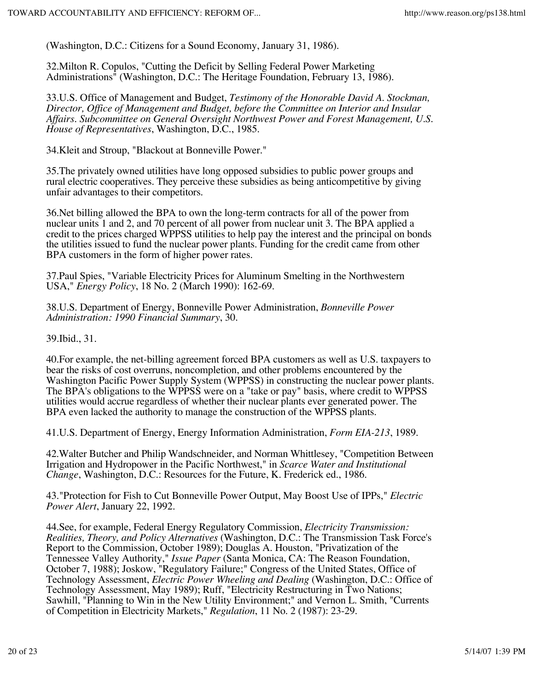(Washington, D.C.: Citizens for a Sound Economy, January 31, 1986).

32.Milton R. Copulos, "Cutting the Deficit by Selling Federal Power Marketing Administrations" (Washington, D.C.: The Heritage Foundation, February 13, 1986).

33.U.S. Office of Management and Budget, *Testimony of the Honorable David A. Stockman, Director, Office of Management and Budget, before the Committee on Interior and Insular Affairs. Subcommittee on General Oversight Northwest Power and Forest Management, U.S. House of Representatives*, Washington, D.C., 1985.

34.Kleit and Stroup, "Blackout at Bonneville Power."

35.The privately owned utilities have long opposed subsidies to public power groups and rural electric cooperatives. They perceive these subsidies as being anticompetitive by giving unfair advantages to their competitors.

36.Net billing allowed the BPA to own the long-term contracts for all of the power from nuclear units 1 and 2, and 70 percent of all power from nuclear unit 3. The BPA applied a credit to the prices charged WPPSS utilities to help pay the interest and the principal on bonds the utilities issued to fund the nuclear power plants. Funding for the credit came from other BPA customers in the form of higher power rates.

37.Paul Spies, "Variable Electricity Prices for Aluminum Smelting in the Northwestern USA," *Energy Policy*, 18 No. 2 (March 1990): 162-69.

38.U.S. Department of Energy, Bonneville Power Administration, *Bonneville Power Administration: 1990 Financial Summary*, 30.

39.Ibid., 31.

40.For example, the net-billing agreement forced BPA customers as well as U.S. taxpayers to bear the risks of cost overruns, noncompletion, and other problems encountered by the Washington Pacific Power Supply System (WPPSS) in constructing the nuclear power plants. The BPA's obligations to the WPPSS were on a "take or pay" basis, where credit to WPPSS utilities would accrue regardless of whether their nuclear plants ever generated power. The BPA even lacked the authority to manage the construction of the WPPSS plants.

41.U.S. Department of Energy, Energy Information Administration, *Form EIA-213*, 1989.

42.Walter Butcher and Philip Wandschneider, and Norman Whittlesey, "Competition Between Irrigation and Hydropower in the Pacific Northwest," in *Scarce Water and Institutional Change*, Washington, D.C.: Resources for the Future, K. Frederick ed., 1986.

43."Protection for Fish to Cut Bonneville Power Output, May Boost Use of IPPs," *Electric Power Alert*, January 22, 1992.

44.See, for example, Federal Energy Regulatory Commission, *Electricity Transmission: Realities, Theory, and Policy Alternatives* (Washington, D.C.: The Transmission Task Force's Report to the Commission, October 1989); Douglas A. Houston, "Privatization of the Tennessee Valley Authority," *Issue Paper* (Santa Monica, CA: The Reason Foundation, October 7, 1988); Joskow, "Regulatory Failure;" Congress of the United States, Office of Technology Assessment, *Electric Power Wheeling and Dealing* (Washington, D.C.: Office of Technology Assessment, May 1989); Ruff, "Electricity Restructuring in Two Nations; Sawhill, "Planning to Win in the New Utility Environment;" and Vernon L. Smith, "Currents of Competition in Electricity Markets," *Regulation*, 11 No. 2 (1987): 23-29.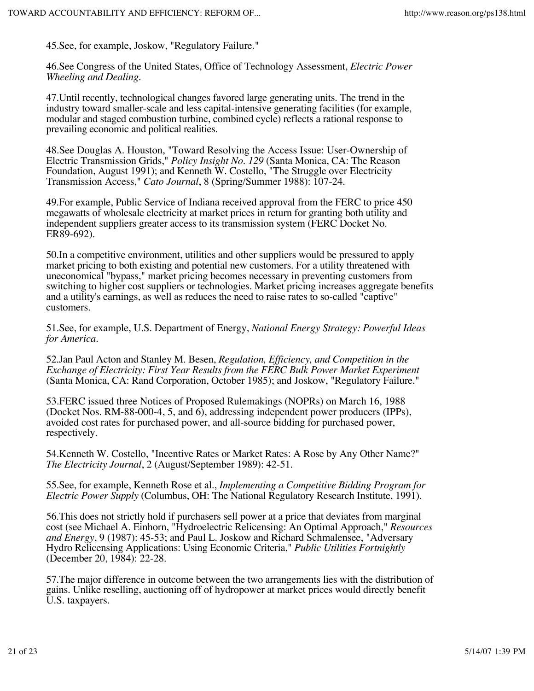45.See, for example, Joskow, "Regulatory Failure."

46.See Congress of the United States, Office of Technology Assessment, *Electric Power Wheeling and Dealing*.

47.Until recently, technological changes favored large generating units. The trend in the industry toward smaller-scale and less capital-intensive generating facilities (for example, modular and staged combustion turbine, combined cycle) reflects a rational response to prevailing economic and political realities.

48.See Douglas A. Houston, "Toward Resolving the Access Issue: User-Ownership of Electric Transmission Grids," *Policy Insight No. 129* (Santa Monica, CA: The Reason Foundation, August 1991); and Kenneth W. Costello, "The Struggle over Electricity Transmission Access," *Cato Journal*, 8 (Spring/Summer 1988): 107-24.

49.For example, Public Service of Indiana received approval from the FERC to price 450 megawatts of wholesale electricity at market prices in return for granting both utility and independent suppliers greater access to its transmission system (FERC Docket No. ER89-692).

50.In a competitive environment, utilities and other suppliers would be pressured to apply market pricing to both existing and potential new customers. For a utility threatened with uneconomical "bypass," market pricing becomes necessary in preventing customers from switching to higher cost suppliers or technologies. Market pricing increases aggregate benefits and a utility's earnings, as well as reduces the need to raise rates to so-called "captive" customers.

51.See, for example, U.S. Department of Energy, *National Energy Strategy: Powerful Ideas for America*.

52.Jan Paul Acton and Stanley M. Besen, *Regulation, Efficiency, and Competition in the Exchange of Electricity: First Year Results from the FERC Bulk Power Market Experiment* (Santa Monica, CA: Rand Corporation, October 1985); and Joskow, "Regulatory Failure."

53.FERC issued three Notices of Proposed Rulemakings (NOPRs) on March 16, 1988 (Docket Nos. RM-88-000-4, 5, and 6), addressing independent power producers (IPPs), avoided cost rates for purchased power, and all-source bidding for purchased power, respectively.

54.Kenneth W. Costello, "Incentive Rates or Market Rates: A Rose by Any Other Name?" *The Electricity Journal*, 2 (August/September 1989): 42-51.

55.See, for example, Kenneth Rose et al., *Implementing a Competitive Bidding Program for Electric Power Supply* (Columbus, OH: The National Regulatory Research Institute, 1991).

56.This does not strictly hold if purchasers sell power at a price that deviates from marginal cost (see Michael A. Einhorn, "Hydroelectric Relicensing: An Optimal Approach," *Resources and Energy*, 9 (1987): 45-53; and Paul L. Joskow and Richard Schmalensee, "Adversary Hydro Relicensing Applications: Using Economic Criteria," *Public Utilities Fortnightly* (December 20, 1984): 22-28.

57.The major difference in outcome between the two arrangements lies with the distribution of gains. Unlike reselling, auctioning off of hydropower at market prices would directly benefit U.S. taxpayers.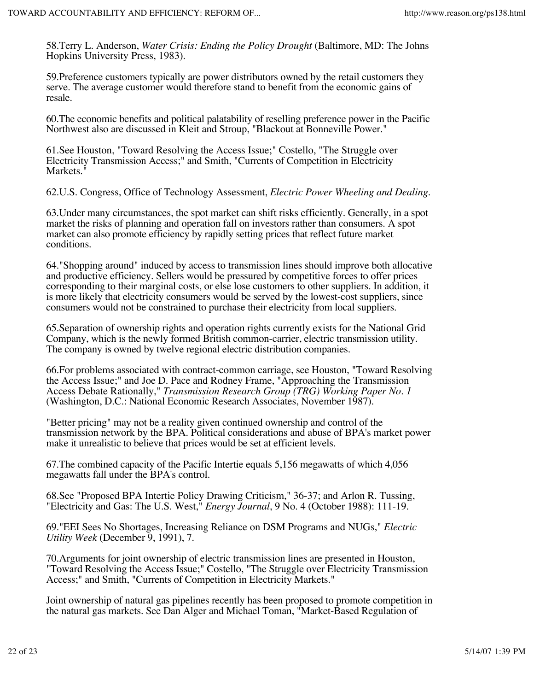58.Terry L. Anderson, *Water Crisis: Ending the Policy Drought* (Baltimore, MD: The Johns Hopkins University Press, 1983).

59.Preference customers typically are power distributors owned by the retail customers they serve. The average customer would therefore stand to benefit from the economic gains of resale.

60.The economic benefits and political palatability of reselling preference power in the Pacific Northwest also are discussed in Kleit and Stroup, "Blackout at Bonneville Power."

61.See Houston, "Toward Resolving the Access Issue;" Costello, "The Struggle over Electricity Transmission Access;" and Smith, "Currents of Competition in Electricity Markets."

62.U.S. Congress, Office of Technology Assessment, *Electric Power Wheeling and Dealing*.

63.Under many circumstances, the spot market can shift risks efficiently. Generally, in a spot market the risks of planning and operation fall on investors rather than consumers. A spot market can also promote efficiency by rapidly setting prices that reflect future market conditions.

64."Shopping around" induced by access to transmission lines should improve both allocative and productive efficiency. Sellers would be pressured by competitive forces to offer prices corresponding to their marginal costs, or else lose customers to other suppliers. In addition, it is more likely that electricity consumers would be served by the lowest-cost suppliers, since consumers would not be constrained to purchase their electricity from local suppliers.

65.Separation of ownership rights and operation rights currently exists for the National Grid Company, which is the newly formed British common-carrier, electric transmission utility. The company is owned by twelve regional electric distribution companies.

66.For problems associated with contract-common carriage, see Houston, "Toward Resolving the Access Issue;" and Joe D. Pace and Rodney Frame, "Approaching the Transmission Access Debate Rationally," *Transmission Research Group (TRG) Working Paper No. 1* (Washington, D.C.: National Economic Research Associates, November 1987).

"Better pricing" may not be a reality given continued ownership and control of the transmission network by the BPA. Political considerations and abuse of BPA's market power make it unrealistic to believe that prices would be set at efficient levels.

67.The combined capacity of the Pacific Intertie equals 5,156 megawatts of which 4,056 megawatts fall under the BPA's control.

68.See "Proposed BPA Intertie Policy Drawing Criticism," 36-37; and Arlon R. Tussing, "Electricity and Gas: The U.S. West," *Energy Journal*, 9 No. 4 (October 1988): 111-19.

69."EEI Sees No Shortages, Increasing Reliance on DSM Programs and NUGs," *Electric Utility Week* (December 9, 1991), 7.

70.Arguments for joint ownership of electric transmission lines are presented in Houston, "Toward Resolving the Access Issue;" Costello, "The Struggle over Electricity Transmission Access;" and Smith, "Currents of Competition in Electricity Markets."

Joint ownership of natural gas pipelines recently has been proposed to promote competition in the natural gas markets. See Dan Alger and Michael Toman, "Market-Based Regulation of